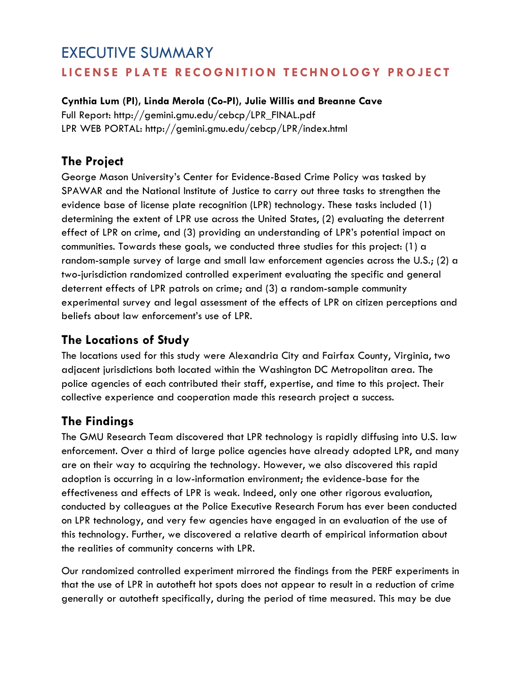# EXECUTIVE SUMMARY **LICENSE PLATE RECOGNITION TECHNOLOGY PRO JECT**

#### **Cynthia Lum (PI), Linda Merola (Co-PI), Julie Willis and Breanne Cave**

Full Report: [http://gemini.gmu.edu/cebcp/LPR\\_FINAL.pdf](http://gemini.gmu.edu/cebcp/LPR_FINAL.pdf)  LPR WEB PORTAL:<http://gemini.gmu.edu/cebcp/LPR/index.html>

## **The Project**

George Mason University's Center for Evidence-Based Crime Policy was tasked by SPAWAR and the National Institute of Justice to carry out three tasks to strengthen the evidence base of license plate recognition (LPR) technology. These tasks included (1) determining the extent of LPR use across the United States, (2) evaluating the deterrent effect of LPR on crime, and (3) providing an understanding of LPR's potential impact on communities. Towards these goals, we conducted three studies for this project: (1) a random-sample survey of large and small law enforcement agencies across the U.S.; (2) a two-jurisdiction randomized controlled experiment evaluating the specific and general deterrent effects of LPR patrols on crime; and (3) a random-sample community experimental survey and legal assessment of the effects of LPR on citizen perceptions and beliefs about law enforcement's use of LPR.

#### **The Locations of Study**

The locations used for this study were Alexandria City and Fairfax County, Virginia, two adjacent jurisdictions both located within the Washington DC Metropolitan area. The police agencies of each contributed their staff, expertise, and time to this project. Their collective experience and cooperation made this research project a success.

# **The Findings**

The GMU Research Team discovered that LPR technology is rapidly diffusing into U.S. law enforcement. Over a third of large police agencies have already adopted LPR, and many are on their way to acquiring the technology. However, we also discovered this rapid adoption is occurring in a low-information environment; the evidence-base for the effectiveness and effects of LPR is weak. Indeed, only one other rigorous evaluation, conducted by colleagues at the Police Executive Research Forum has ever been conducted on LPR technology, and very few agencies have engaged in an evaluation of the use of this technology. Further, we discovered a relative dearth of empirical information about the realities of community concerns with LPR.

Our randomized controlled experiment mirrored the findings from the PERF experiments in that the use of LPR in autotheft hot spots does not appear to result in a reduction of crime generally or autotheft specifically, during the period of time measured. This may be due